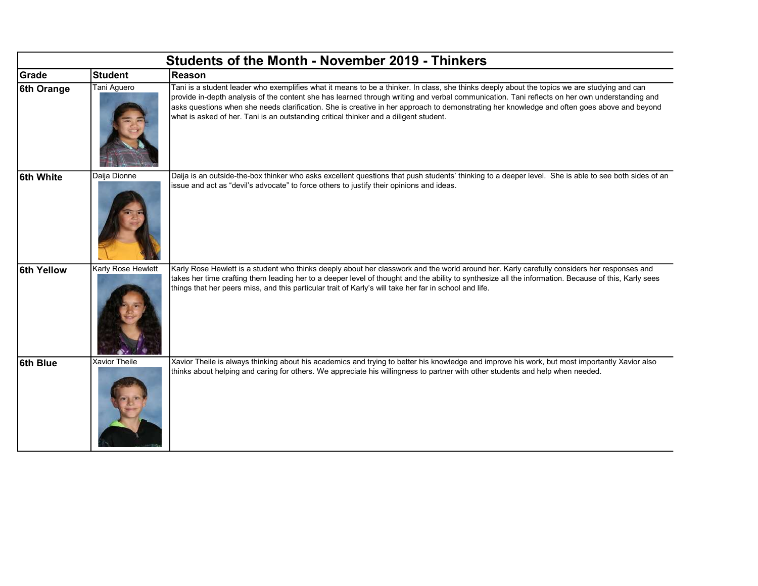| <b>Students of the Month - November 2019 - Thinkers</b> |                    |                                                                                                                                                                                                                                                                                                                                                                                                                                                                                                                                       |  |  |
|---------------------------------------------------------|--------------------|---------------------------------------------------------------------------------------------------------------------------------------------------------------------------------------------------------------------------------------------------------------------------------------------------------------------------------------------------------------------------------------------------------------------------------------------------------------------------------------------------------------------------------------|--|--|
| Grade                                                   | <b>Student</b>     | Reason                                                                                                                                                                                                                                                                                                                                                                                                                                                                                                                                |  |  |
| 6th Orange                                              | Tani Aguero        | Tani is a student leader who exemplifies what it means to be a thinker. In class, she thinks deeply about the topics we are studying and can<br>provide in-depth analysis of the content she has learned through writing and verbal communication. Tani reflects on her own understanding and<br>asks questions when she needs clarification. She is creative in her approach to demonstrating her knowledge and often goes above and beyond<br>what is asked of her. Tani is an outstanding critical thinker and a diligent student. |  |  |
| 6th White                                               | Daija Dionne       | Daija is an outside-the-box thinker who asks excellent questions that push students' thinking to a deeper level. She is able to see both sides of an<br>issue and act as "devil's advocate" to force others to justify their opinions and ideas.                                                                                                                                                                                                                                                                                      |  |  |
| 6th Yellow                                              | Karly Rose Hewlett | Karly Rose Hewlett is a student who thinks deeply about her classwork and the world around her. Karly carefully considers her responses and<br>takes her time crafting them leading her to a deeper level of thought and the ability to synthesize all the information. Because of this, Karly sees<br>things that her peers miss, and this particular trait of Karly's will take her far in school and life.                                                                                                                         |  |  |
| 6th Blue                                                | Xavior Theile      | Xavior Theile is always thinking about his academics and trying to better his knowledge and improve his work, but most importantly Xavior also<br>thinks about helping and caring for others. We appreciate his willingness to partner with other students and help when needed.                                                                                                                                                                                                                                                      |  |  |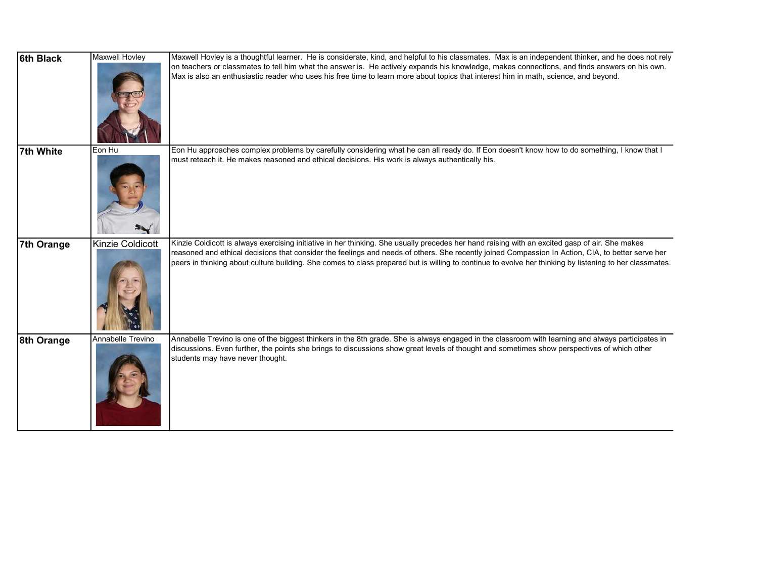| 6th Black  | <b>Maxwell Hovley</b> | Maxwell Hovley is a thoughtful learner. He is considerate, kind, and helpful to his classmates. Max is an independent thinker, and he does not rely<br>on teachers or classmates to tell him what the answer is. He actively expands his knowledge, makes connections, and finds answers on his own.<br>Max is also an enthusiastic reader who uses his free time to learn more about topics that interest him in math, science, and beyond.                   |
|------------|-----------------------|----------------------------------------------------------------------------------------------------------------------------------------------------------------------------------------------------------------------------------------------------------------------------------------------------------------------------------------------------------------------------------------------------------------------------------------------------------------|
| 7th White  | Eon Hu                | Eon Hu approaches complex problems by carefully considering what he can all ready do. If Eon doesn't know how to do something, I know that I<br>must reteach it. He makes reasoned and ethical decisions. His work is always authentically his.                                                                                                                                                                                                                |
| 7th Orange | Kinzie Coldicott      | Kinzie Coldicott is always exercising initiative in her thinking. She usually precedes her hand raising with an excited gasp of air. She makes<br>reasoned and ethical decisions that consider the feelings and needs of others. She recently joined Compassion In Action, CIA, to better serve her<br>peers in thinking about culture building. She comes to class prepared but is willing to continue to evolve her thinking by listening to her classmates. |
| 8th Orange | Annabelle Trevino     | Annabelle Trevino is one of the biggest thinkers in the 8th grade. She is always engaged in the classroom with learning and always participates in<br>discussions. Even further, the points she brings to discussions show great levels of thought and sometimes show perspectives of which other<br>students may have never thought.                                                                                                                          |